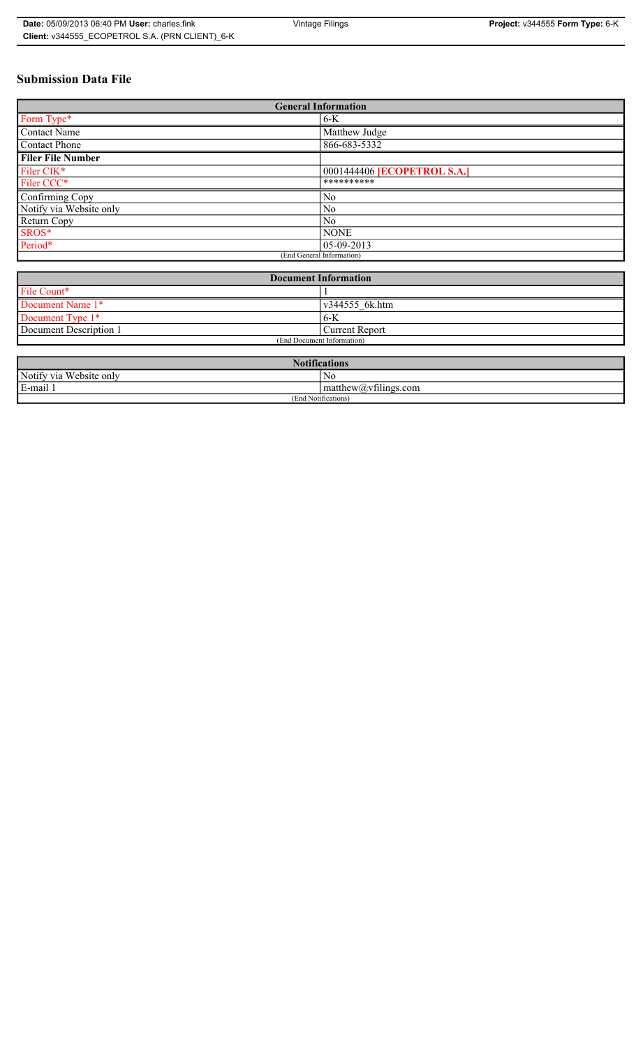# **Submission Data File**

| <b>General Information</b> |                                    |
|----------------------------|------------------------------------|
| Form Type*                 | $6-K$                              |
| Contact Name               | Matthew Judge                      |
| <b>Contact Phone</b>       | 866-683-5332                       |
| <b>Filer File Number</b>   |                                    |
| Filer CIK <sup>*</sup>     | 0001444406 <b>[ECOPETROL S.A.]</b> |
| Filer CCC*                 | **********                         |
| Confirming Copy            | N <sub>0</sub>                     |
| Notify via Website only    | N <sub>0</sub>                     |
| <b>Return Copy</b>         | N <sub>0</sub>                     |
| SROS*                      | <b>NONE</b>                        |
| Period*                    | $05-09-2013$                       |
| (End General Information)  |                                    |

| <b>Document Information</b> |                |
|-----------------------------|----------------|
| File Count*                 |                |
| Document Name 1*            | v344555 6k.htm |
| Document Type 1*            | 6-K            |
| Document Description 1      | Current Report |
| (End Document Information)  |                |

| <b>Notifications</b><br><b>THE</b> |                                                     |  |
|------------------------------------|-----------------------------------------------------|--|
| Notify via<br>Website only         | Nc                                                  |  |
| E-mail 1<br>$\blacksquare$         | $\sim$ 1.<br>$\text{matrix}(a)\text{v}$ tilings.com |  |
| (End Notifications)                |                                                     |  |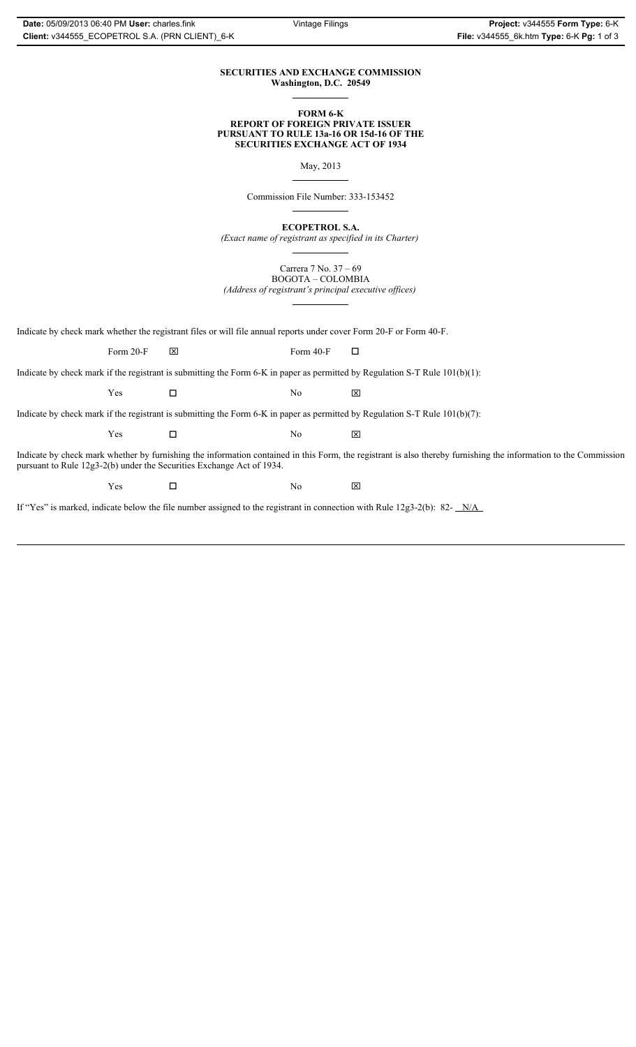# **SECURITIES AND EXCHANGE COMMISSION Washington, D.C. 20549**

# **FORM 6-K REPORT OF FOREIGN PRIVATE ISSUER PURSUANT TO RULE 13a-16 OR 15d-16 OF THE SECURITIES EXCHANGE ACT OF 1934**

May, 2013

Commission File Number: 333-153452

**ECOPETROL S.A.**

*(Exact name of registrant as specified in its Charter)*

Carrera 7 No. 37 – 69 BOGOTA – COLOMBIA

*(Address of registrant's principal executive offices)*

Indicate by check mark whether the registrant files or will file annual reports under cover Form 20-F or Form 40-F.

Form 20-F  $\boxtimes$  Form 40-F  $\Box$ 

Indicate by check mark if the registrant is submitting the Form 6-K in paper as permitted by Regulation S-T Rule 101(b)(1):

 $Yes$   $\Box$   $No$   $X$ 

Indicate by check mark if the registrant is submitting the Form 6-K in paper as permitted by Regulation S-T Rule 101(b)(7):

 $Yes$   $\Box$   $No$   $X$ 

Indicate by check mark whether by furnishing the information contained in this Form, the registrant is also thereby furnishing the information to the Commission pursuant to Rule 12g3-2(b) under the Securities Exchange Act of 1934.

 $Yes$   $\square$ 

If "Yes" is marked, indicate below the file number assigned to the registrant in connection with Rule 12g3-2(b): 82- N/A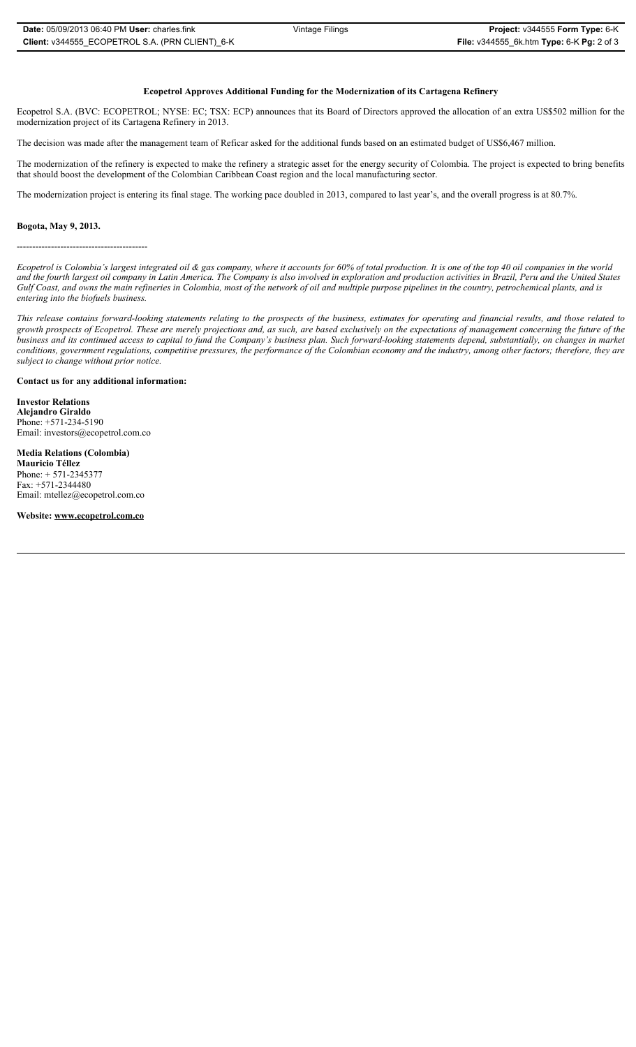# **Ecopetrol Approves Additional Funding for the Modernization of its Cartagena Refinery**

Ecopetrol S.A. (BVC: ECOPETROL; NYSE: EC; TSX: ECP) announces that its Board of Directors approved the allocation of an extra US\$502 million for the modernization project of its Cartagena Refinery in 2013.

The decision was made after the management team of Reficar asked for the additional funds based on an estimated budget of US\$6,467 million.

The modernization of the refinery is expected to make the refinery a strategic asset for the energy security of Colombia. The project is expected to bring benefits that should boost the development of the Colombian Caribbean Coast region and the local manufacturing sector.

The modernization project is entering its final stage. The working pace doubled in 2013, compared to last year's, and the overall progress is at 80.7%.

#### **Bogota, May 9, 2013.**

------------------------------------------

*Ecopetrol is Colombia's largest integrated oil & gas company, where it accounts for 60% of total production. It is one of the top 40 oil companies in the world and the fourth largest oil company in Latin America. The Company is also involved in exploration and production activities in Brazil, Peru and the United States Gulf Coast, and owns the main refineries in Colombia, most of the network of oil and multiple purpose pipelines in the country, petrochemical plants, and is entering into the biofuels business.* 

*This release contains forward-looking statements relating to the prospects of the business, estimates for operating and financial results, and those related to growth prospects of Ecopetrol. These are merely projections and, as such, are based exclusively on the expectations of management concerning the future of the business and its continued access to capital to fund the Company's business plan. Such forward-looking statements depend, substantially, on changes in market conditions, government regulations, competitive pressures, the performance of the Colombian economy and the industry, among other factors; therefore, they are subject to change without prior notice.*

# **Contact us for any additional information:**

**Investor Relations Alejandro Giraldo**  Phone: +571-234-5190 Email: investors@ecopetrol.com.co

### **Media Relations (Colombia)**

**Mauricio Téllez**  Phone: + 571-2345377 Fax: +571-2344480 Email: mtellez@ecopetrol.com.co

**Website: www.ecopetrol.com.co**